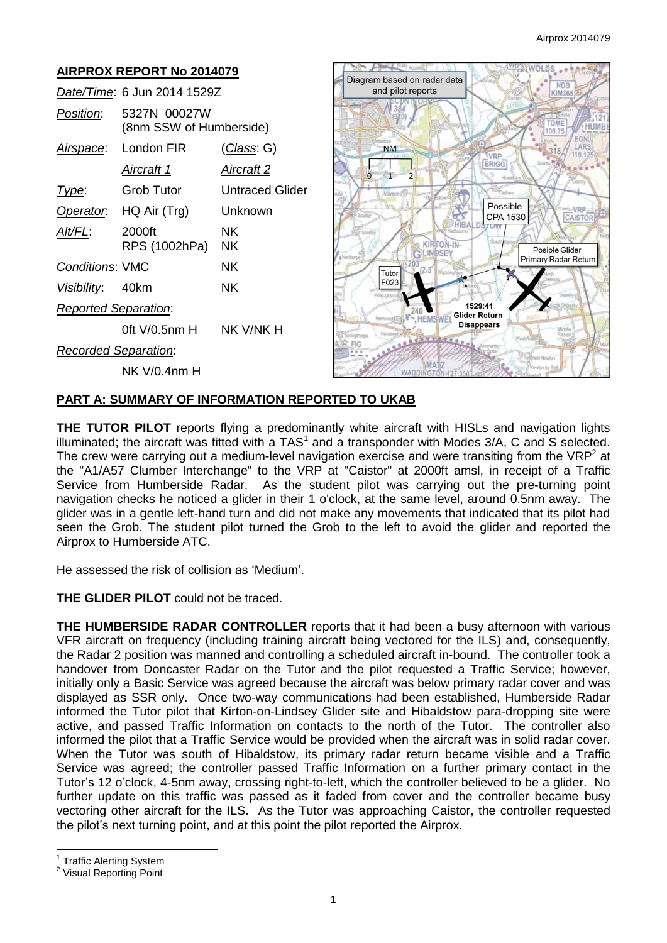#### **AIRPROX REPORT No 2014079**  $e^{\pm}$ Diagram based on radar data **NDB** *Date/Time*: 6 Jun 2014 1529Z and pilot reports KIM36 *Position*: 5327N 00027W TOME (8nm SSW of Humberside) 108.75 *Airspace*: London FIR (*Class*: G) **NM BRIGG** *Aircraft 1 Aircraft 2*  $\circ$ **Type:** Grob Tutor Untraced Glider **Possible** *Operator*: HQ Air (Trg) Unknown VDD CPA 1530 CAISTOR **HIRA** *Alt/FL*: 2000ft NK & KIRTON-IN RPS (1002hPa) NK Posible Glider Primary Radar Return **Conditions: VMC NK** Tuto F023 *Visibility*: 40km NK 1529:41 *Reported Separation*: **Glider Return HEMSWEI Disappears** 0ft V/0.5nm H NK V/NK H *Recorded Separation*: NK V/0.4nm H

### **PART A: SUMMARY OF INFORMATION REPORTED TO UKAB**

**THE TUTOR PILOT** reports flying a predominantly white aircraft with HISLs and navigation lights illuminated; the aircraft was fitted with a  $TAS<sup>1</sup>$  and a transponder with Modes 3/A, C and S selected. The crew were carrying out a medium-level navigation exercise and were transiting from the VRP<sup>2</sup> at the "A1/A57 Clumber Interchange" to the VRP at "Caistor" at 2000ft amsl, in receipt of a Traffic Service from Humberside Radar. As the student pilot was carrying out the pre-turning point navigation checks he noticed a glider in their 1 o'clock, at the same level, around 0.5nm away. The glider was in a gentle left-hand turn and did not make any movements that indicated that its pilot had seen the Grob. The student pilot turned the Grob to the left to avoid the glider and reported the Airprox to Humberside ATC.

He assessed the risk of collision as 'Medium'.

# **THE GLIDER PILOT** could not be traced.

**THE HUMBERSIDE RADAR CONTROLLER** reports that it had been a busy afternoon with various VFR aircraft on frequency (including training aircraft being vectored for the ILS) and, consequently, the Radar 2 position was manned and controlling a scheduled aircraft in-bound. The controller took a handover from Doncaster Radar on the Tutor and the pilot requested a Traffic Service; however, initially only a Basic Service was agreed because the aircraft was below primary radar cover and was displayed as SSR only. Once two-way communications had been established, Humberside Radar informed the Tutor pilot that Kirton-on-Lindsey Glider site and Hibaldstow para-dropping site were active, and passed Traffic Information on contacts to the north of the Tutor. The controller also informed the pilot that a Traffic Service would be provided when the aircraft was in solid radar cover. When the Tutor was south of Hibaldstow, its primary radar return became visible and a Traffic Service was agreed; the controller passed Traffic Information on a further primary contact in the Tutor's 12 o'clock, 4-5nm away, crossing right-to-left, which the controller believed to be a glider. No further update on this traffic was passed as it faded from cover and the controller became busy vectoring other aircraft for the ILS. As the Tutor was approaching Caistor, the controller requested the pilot's next turning point, and at this point the pilot reported the Airprox.

 $\overline{\phantom{a}}$ 

<sup>&</sup>lt;sup>1</sup> Traffic Alerting System

<sup>&</sup>lt;sup>2</sup> Visual Reporting Point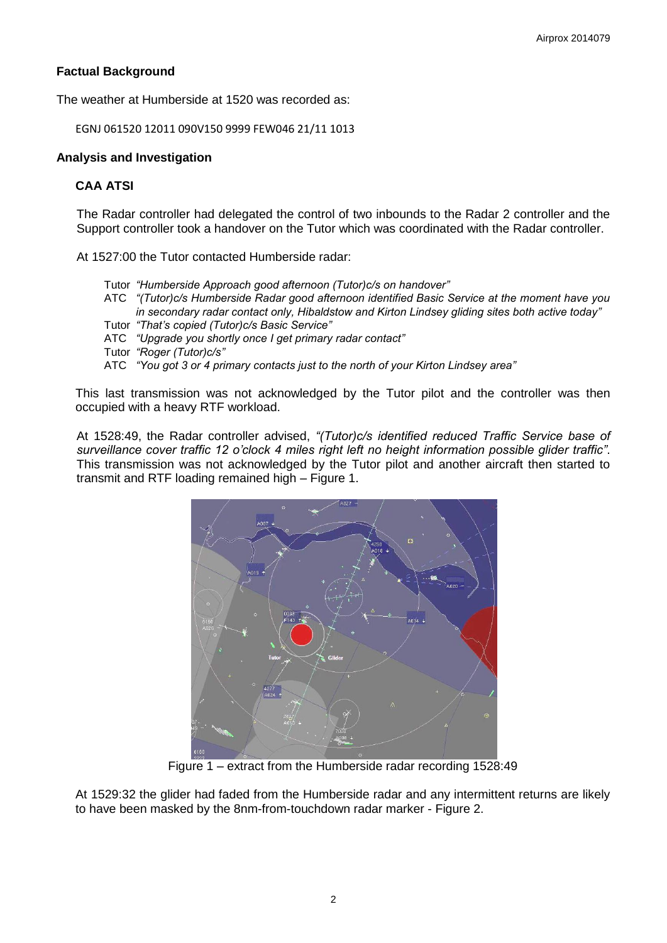# **Factual Background**

The weather at Humberside at 1520 was recorded as:

EGNJ 061520 12011 090V150 9999 FEW046 21/11 1013

### **Analysis and Investigation**

# **CAA ATSI**

The Radar controller had delegated the control of two inbounds to the Radar 2 controller and the Support controller took a handover on the Tutor which was coordinated with the Radar controller.

At 1527:00 the Tutor contacted Humberside radar:

- Tutor *"Humberside Approach good afternoon (Tutor)c/s on handover"*
- ATC *"(Tutor)c/s Humberside Radar good afternoon identified Basic Service at the moment have you in secondary radar contact only, Hibaldstow and Kirton Lindsey gliding sites both active today"*
- Tutor *"That's copied (Tutor)c/s Basic Service"*
- ATC *"Upgrade you shortly once I get primary radar contact"*
- Tutor *"Roger (Tutor)c/s"*

ATC *"You got 3 or 4 primary contacts just to the north of your Kirton Lindsey area"* 

This last transmission was not acknowledged by the Tutor pilot and the controller was then occupied with a heavy RTF workload.

At 1528:49, the Radar controller advised, *"(Tutor)c/s identified reduced Traffic Service base of surveillance cover traffic 12 o'clock 4 miles right left no height information possible glider traffic"*. This transmission was not acknowledged by the Tutor pilot and another aircraft then started to transmit and RTF loading remained high – Figure 1.



Figure 1 – extract from the Humberside radar recording 1528:49

At 1529:32 the glider had faded from the Humberside radar and any intermittent returns are likely to have been masked by the 8nm-from-touchdown radar marker - Figure 2.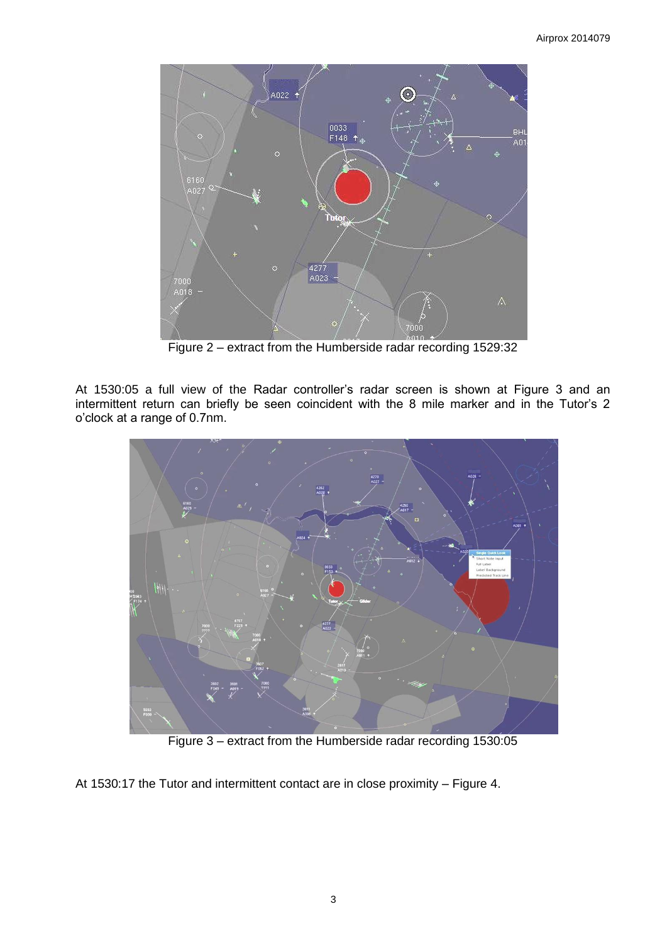

Figure 2 – extract from the Humberside radar recording 1529:32

At 1530:05 a full view of the Radar controller's radar screen is shown at Figure 3 and an intermittent return can briefly be seen coincident with the 8 mile marker and in the Tutor's 2 o'clock at a range of 0.7nm.



Figure 3 – extract from the Humberside radar recording 1530:05

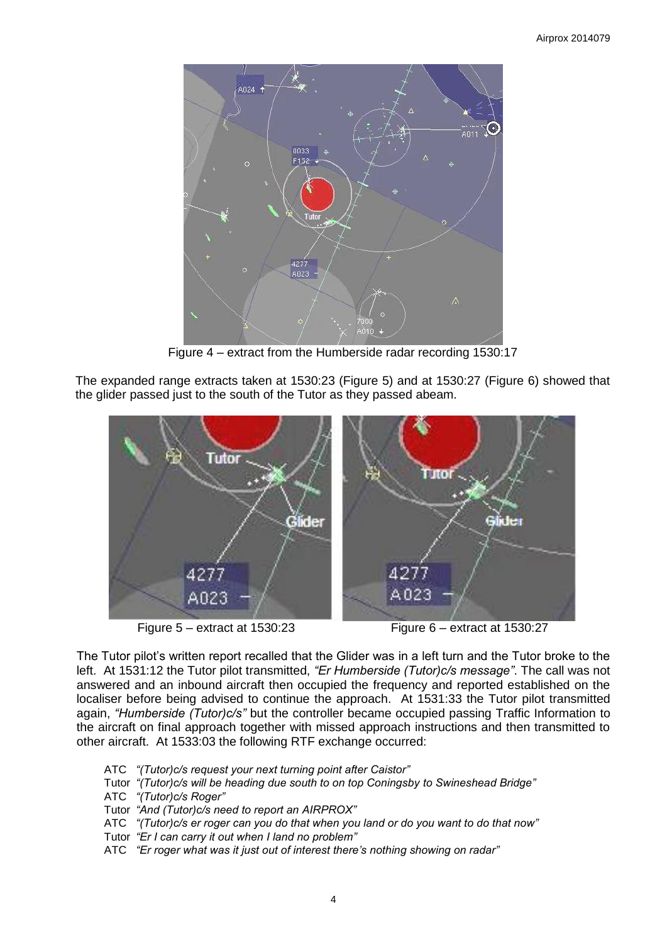

Figure 4 – extract from the Humberside radar recording 1530:17

The expanded range extracts taken at 1530:23 (Figure 5) and at 1530:27 (Figure 6) showed that the glider passed just to the south of the Tutor as they passed abeam.



Figure 5 – extract at 1530:23 Figure 6 – extract at 1530:27

The Tutor pilot's written report recalled that the Glider was in a left turn and the Tutor broke to the left. At 1531:12 the Tutor pilot transmitted, *"Er Humberside (Tutor)c/s message"*. The call was not answered and an inbound aircraft then occupied the frequency and reported established on the localiser before being advised to continue the approach. At 1531:33 the Tutor pilot transmitted again, *"Humberside (Tutor)c/s"* but the controller became occupied passing Traffic Information to the aircraft on final approach together with missed approach instructions and then transmitted to other aircraft. At 1533:03 the following RTF exchange occurred:

- ATC *"(Tutor)c/s request your next turning point after Caistor"*
- Tutor *"(Tutor)c/s will be heading due south to on top Coningsby to Swineshead Bridge"*
- ATC *"(Tutor)c/s Roger"*
- Tutor *"And (Tutor)c/s need to report an AIRPROX"*
- ATC *"(Tutor)c/s er roger can you do that when you land or do you want to do that now"*
- Tutor *"Er I can carry it out when I land no problem"*
- ATC *"Er roger what was it just out of interest there's nothing showing on radar"*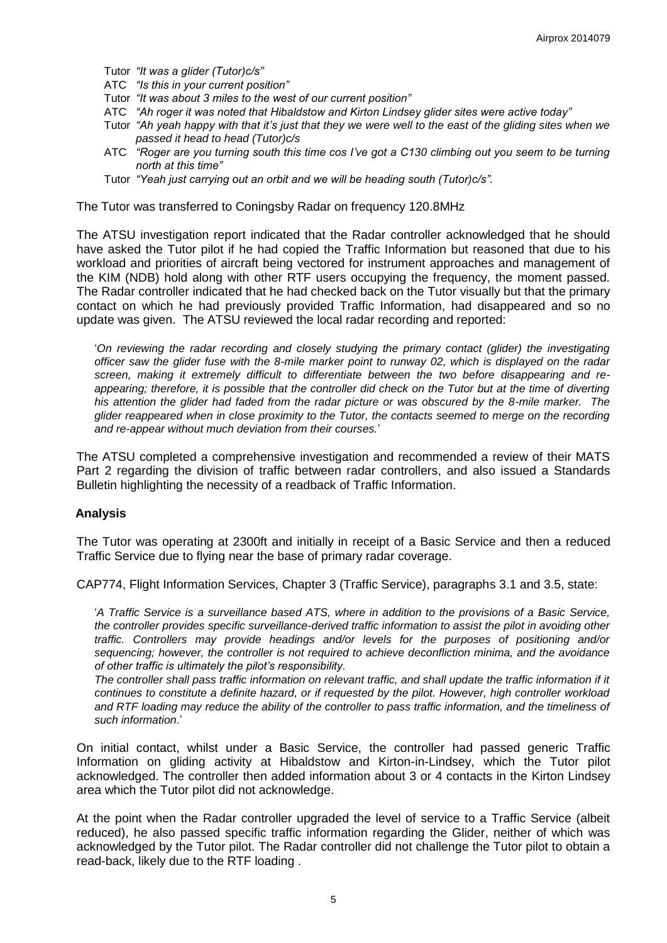Tutor *"It was a glider (Tutor)c/s"*

- ATC *"Is this in your current position"*
- Tutor *"It was about 3 miles to the west of our current position"*
- ATC *"Ah roger it was noted that Hibaldstow and Kirton Lindsey glider sites were active today"*
- Tutor *"Ah yeah happy with that it's just that they we were well to the east of the gliding sites when we passed it head to head (Tutor)c/s*
- ATC *"Roger are you turning south this time cos I've got a C130 climbing out you seem to be turning north at this time"*
- Tutor *"Yeah just carrying out an orbit and we will be heading south (Tutor)c/s".*

The Tutor was transferred to Coningsby Radar on frequency 120.8MHz

The ATSU investigation report indicated that the Radar controller acknowledged that he should have asked the Tutor pilot if he had copied the Traffic Information but reasoned that due to his workload and priorities of aircraft being vectored for instrument approaches and management of the KIM (NDB) hold along with other RTF users occupying the frequency, the moment passed. The Radar controller indicated that he had checked back on the Tutor visually but that the primary contact on which he had previously provided Traffic Information, had disappeared and so no update was given. The ATSU reviewed the local radar recording and reported:

'*On reviewing the radar recording and closely studying the primary contact (glider) the investigating officer saw the glider fuse with the 8-mile marker point to runway 02, which is displayed on the radar screen, making it extremely difficult to differentiate between the two before disappearing and reappearing; therefore, it is possible that the controller did check on the Tutor but at the time of diverting his attention the glider had faded from the radar picture or was obscured by the 8-mile marker. The glider reappeared when in close proximity to the Tutor, the contacts seemed to merge on the recording and re-appear without much deviation from their courses.*'

The ATSU completed a comprehensive investigation and recommended a review of their MATS Part 2 regarding the division of traffic between radar controllers, and also issued a Standards Bulletin highlighting the necessity of a readback of Traffic Information.

#### **Analysis**

The Tutor was operating at 2300ft and initially in receipt of a Basic Service and then a reduced Traffic Service due to flying near the base of primary radar coverage.

CAP774, Flight Information Services, Chapter 3 (Traffic Service), paragraphs 3.1 and 3.5, state:

'*A Traffic Service is a surveillance based ATS, where in addition to the provisions of a Basic Service, the controller provides specific surveillance-derived traffic information to assist the pilot in avoiding other traffic. Controllers may provide headings and/or levels for the purposes of positioning and/or sequencing; however, the controller is not required to achieve deconfliction minima, and the avoidance of other traffic is ultimately the pilot's responsibility.*

*The controller shall pass traffic information on relevant traffic, and shall update the traffic information if it continues to constitute a definite hazard, or if requested by the pilot. However, high controller workload and RTF loading may reduce the ability of the controller to pass traffic information, and the timeliness of such information*.'

On initial contact, whilst under a Basic Service, the controller had passed generic Traffic Information on gliding activity at Hibaldstow and Kirton-in-Lindsey, which the Tutor pilot acknowledged. The controller then added information about 3 or 4 contacts in the Kirton Lindsey area which the Tutor pilot did not acknowledge.

At the point when the Radar controller upgraded the level of service to a Traffic Service (albeit reduced), he also passed specific traffic information regarding the Glider, neither of which was acknowledged by the Tutor pilot. The Radar controller did not challenge the Tutor pilot to obtain a read-back, likely due to the RTF loading .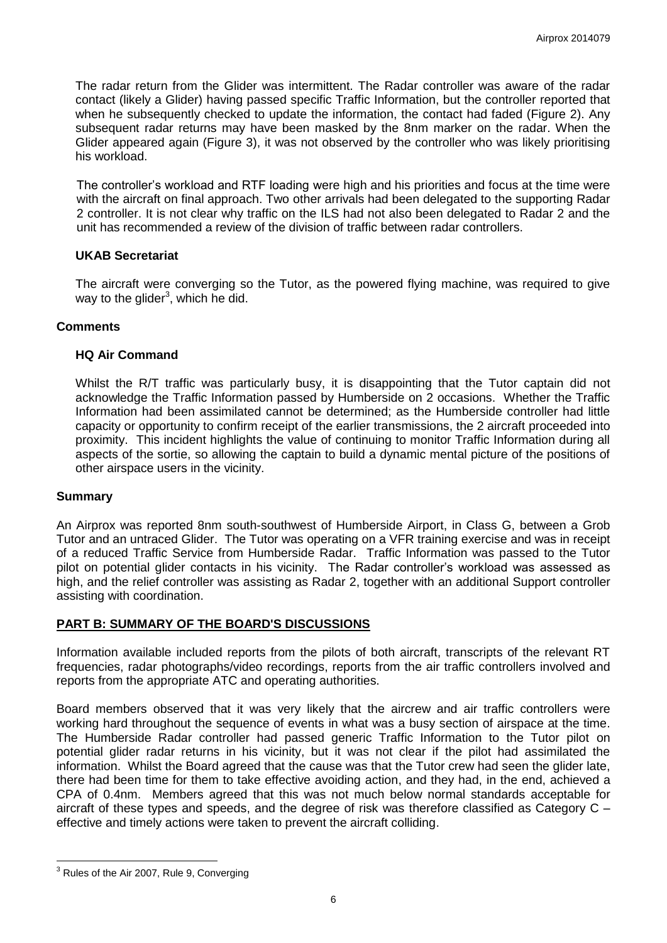The radar return from the Glider was intermittent. The Radar controller was aware of the radar contact (likely a Glider) having passed specific Traffic Information, but the controller reported that when he subsequently checked to update the information, the contact had faded (Figure 2). Any subsequent radar returns may have been masked by the 8nm marker on the radar. When the Glider appeared again (Figure 3), it was not observed by the controller who was likely prioritising his workload.

The controller's workload and RTF loading were high and his priorities and focus at the time were with the aircraft on final approach. Two other arrivals had been delegated to the supporting Radar 2 controller. It is not clear why traffic on the ILS had not also been delegated to Radar 2 and the unit has recommended a review of the division of traffic between radar controllers.

### **UKAB Secretariat**

The aircraft were converging so the Tutor, as the powered flying machine, was required to give way to the glider $3$ , which he did.

### **Comments**

### **HQ Air Command**

Whilst the R/T traffic was particularly busy, it is disappointing that the Tutor captain did not acknowledge the Traffic Information passed by Humberside on 2 occasions. Whether the Traffic Information had been assimilated cannot be determined; as the Humberside controller had little capacity or opportunity to confirm receipt of the earlier transmissions, the 2 aircraft proceeded into proximity. This incident highlights the value of continuing to monitor Traffic Information during all aspects of the sortie, so allowing the captain to build a dynamic mental picture of the positions of other airspace users in the vicinity.

#### **Summary**

An Airprox was reported 8nm south-southwest of Humberside Airport, in Class G, between a Grob Tutor and an untraced Glider. The Tutor was operating on a VFR training exercise and was in receipt of a reduced Traffic Service from Humberside Radar. Traffic Information was passed to the Tutor pilot on potential glider contacts in his vicinity. The Radar controller's workload was assessed as high, and the relief controller was assisting as Radar 2, together with an additional Support controller assisting with coordination.

# **PART B: SUMMARY OF THE BOARD'S DISCUSSIONS**

Information available included reports from the pilots of both aircraft, transcripts of the relevant RT frequencies, radar photographs/video recordings, reports from the air traffic controllers involved and reports from the appropriate ATC and operating authorities.

Board members observed that it was very likely that the aircrew and air traffic controllers were working hard throughout the sequence of events in what was a busy section of airspace at the time. The Humberside Radar controller had passed generic Traffic Information to the Tutor pilot on potential glider radar returns in his vicinity, but it was not clear if the pilot had assimilated the information. Whilst the Board agreed that the cause was that the Tutor crew had seen the glider late, there had been time for them to take effective avoiding action, and they had, in the end, achieved a CPA of 0.4nm. Members agreed that this was not much below normal standards acceptable for aircraft of these types and speeds, and the degree of risk was therefore classified as Category C – effective and timely actions were taken to prevent the aircraft colliding.

 $\overline{a}$ 

<sup>&</sup>lt;sup>3</sup> Rules of the Air 2007, Rule 9, Converging